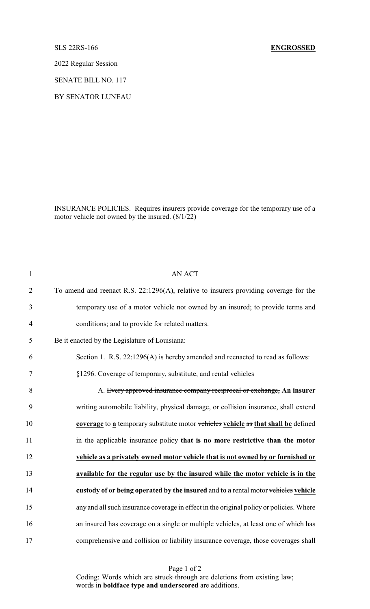## SLS 22RS-166 **ENGROSSED**

2022 Regular Session

SENATE BILL NO. 117

BY SENATOR LUNEAU

INSURANCE POLICIES. Requires insurers provide coverage for the temporary use of a motor vehicle not owned by the insured. (8/1/22)

| $\mathbf{1}$   | <b>AN ACT</b>                                                                           |
|----------------|-----------------------------------------------------------------------------------------|
| $\overline{2}$ | To amend and reenact R.S. 22:1296(A), relative to insurers providing coverage for the   |
| 3              | temporary use of a motor vehicle not owned by an insured; to provide terms and          |
| $\overline{4}$ | conditions; and to provide for related matters.                                         |
| 5              | Be it enacted by the Legislature of Louisiana:                                          |
| 6              | Section 1. R.S. 22:1296(A) is hereby amended and reenacted to read as follows:          |
| $\tau$         | §1296. Coverage of temporary, substitute, and rental vehicles                           |
| 8              | A. Every approved insurance company reciprocal or exchange, An insurer                  |
| 9              | writing automobile liability, physical damage, or collision insurance, shall extend     |
| 10             | coverage to a temporary substitute motor vehicles vehicle as that shall be defined      |
| 11             | in the applicable insurance policy that is no more restrictive than the motor           |
| 12             | vehicle as a privately owned motor vehicle that is not owned by or furnished or         |
| 13             | available for the regular use by the insured while the motor vehicle is in the          |
| 14             | custody of or being operated by the insured and to a rental motor vehicles vehicle      |
| 15             | any and all such insurance coverage in effect in the original policy or policies. Where |
| 16             | an insured has coverage on a single or multiple vehicles, at least one of which has     |
| 17             | comprehensive and collision or liability insurance coverage, those coverages shall      |

Page 1 of 2 Coding: Words which are struck through are deletions from existing law; words in **boldface type and underscored** are additions.